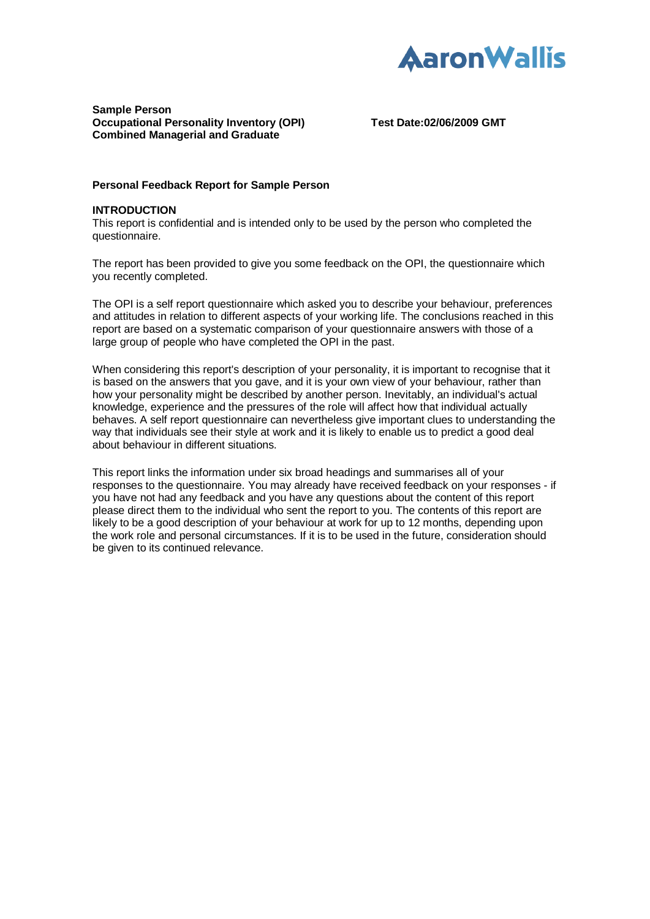

## **Sample Person Occupational Personality Inventory (OPI) Test Date:02/06/2009 GMT Combined Managerial and Graduate**

## **Personal Feedback Report for Sample Person**

#### **INTRODUCTION**

This report is confidential and is intended only to be used by the person who completed the questionnaire.

The report has been provided to give you some feedback on the OPI, the questionnaire which you recently completed.

The OPI is a self report questionnaire which asked you to describe your behaviour, preferences and attitudes in relation to different aspects of your working life. The conclusions reached in this report are based on a systematic comparison of your questionnaire answers with those of a large group of people who have completed the OPI in the past.

When considering this report's description of your personality, it is important to recognise that it is based on the answers that you gave, and it is your own view of your behaviour, rather than how your personality might be described by another person. Inevitably, an individual's actual knowledge, experience and the pressures of the role will affect how that individual actually behaves. A self report questionnaire can nevertheless give important clues to understanding the way that individuals see their style at work and it is likely to enable us to predict a good deal about behaviour in different situations.

This report links the information under six broad headings and summarises all of your responses to the questionnaire. You may already have received feedback on your responses - if you have not had any feedback and you have any questions about the content of this report please direct them to the individual who sent the report to you. The contents of this report are likely to be a good description of your behaviour at work for up to 12 months, depending upon the work role and personal circumstances. If it is to be used in the future, consideration should be given to its continued relevance.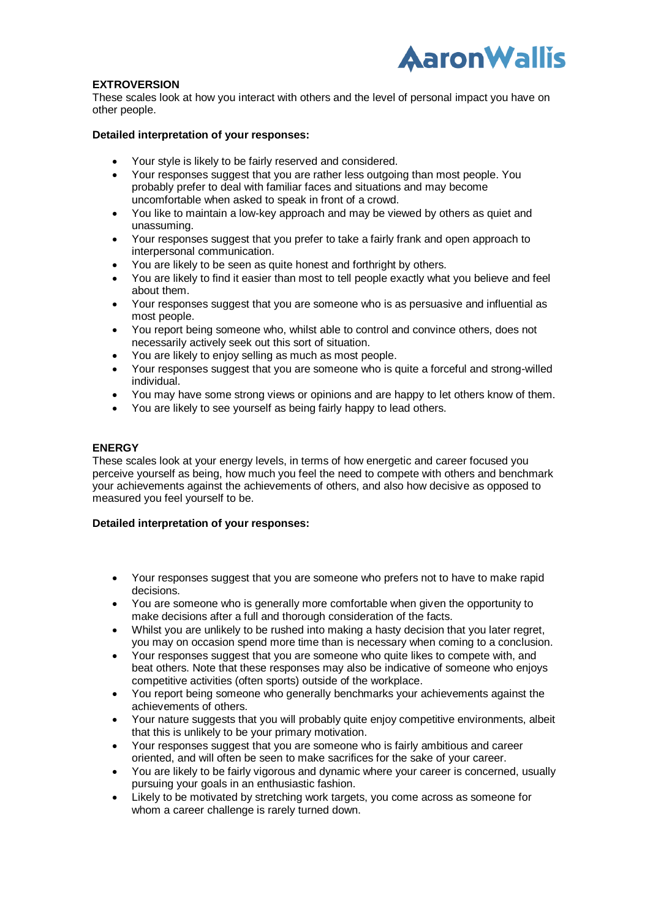

# **EXTROVERSION**

These scales look at how you interact with others and the level of personal impact you have on other people.

## **Detailed interpretation of your responses:**

- Your style is likely to be fairly reserved and considered.
- Your responses suggest that you are rather less outgoing than most people. You probably prefer to deal with familiar faces and situations and may become uncomfortable when asked to speak in front of a crowd.
- You like to maintain a low-key approach and may be viewed by others as quiet and unassuming.
- Your responses suggest that you prefer to take a fairly frank and open approach to interpersonal communication.
- You are likely to be seen as quite honest and forthright by others.
- You are likely to find it easier than most to tell people exactly what you believe and feel about them.
- Your responses suggest that you are someone who is as persuasive and influential as most people.
- You report being someone who, whilst able to control and convince others, does not necessarily actively seek out this sort of situation.
- You are likely to enjoy selling as much as most people.
- Your responses suggest that you are someone who is quite a forceful and strong-willed individual.
- You may have some strong views or opinions and are happy to let others know of them.
- You are likely to see yourself as being fairly happy to lead others.

## **ENERGY**

These scales look at your energy levels, in terms of how energetic and career focused you perceive yourself as being, how much you feel the need to compete with others and benchmark your achievements against the achievements of others, and also how decisive as opposed to measured you feel yourself to be.

- Your responses suggest that you are someone who prefers not to have to make rapid decisions.
- You are someone who is generally more comfortable when given the opportunity to make decisions after a full and thorough consideration of the facts.
- Whilst you are unlikely to be rushed into making a hasty decision that you later regret, you may on occasion spend more time than is necessary when coming to a conclusion.
- Your responses suggest that you are someone who quite likes to compete with, and beat others. Note that these responses may also be indicative of someone who enjoys competitive activities (often sports) outside of the workplace.
- You report being someone who generally benchmarks your achievements against the achievements of others.
- Your nature suggests that you will probably quite enjoy competitive environments, albeit that this is unlikely to be your primary motivation.
- Your responses suggest that you are someone who is fairly ambitious and career oriented, and will often be seen to make sacrifices for the sake of your career.
- You are likely to be fairly vigorous and dynamic where your career is concerned, usually pursuing your goals in an enthusiastic fashion.
- Likely to be motivated by stretching work targets, you come across as someone for whom a career challenge is rarely turned down.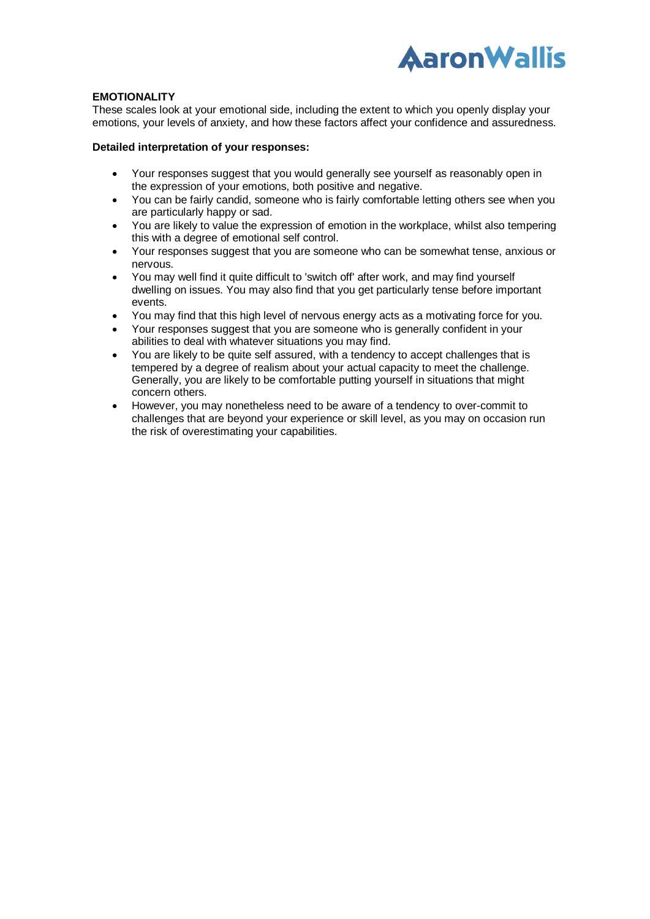

## **EMOTIONALITY**

These scales look at your emotional side, including the extent to which you openly display your emotions, your levels of anxiety, and how these factors affect your confidence and assuredness.

- Your responses suggest that you would generally see yourself as reasonably open in the expression of your emotions, both positive and negative.
- You can be fairly candid, someone who is fairly comfortable letting others see when you are particularly happy or sad.
- You are likely to value the expression of emotion in the workplace, whilst also tempering this with a degree of emotional self control.
- Your responses suggest that you are someone who can be somewhat tense, anxious or nervous.
- You may well find it quite difficult to 'switch off' after work, and may find yourself dwelling on issues. You may also find that you get particularly tense before important events.
- You may find that this high level of nervous energy acts as a motivating force for you.
- Your responses suggest that you are someone who is generally confident in your abilities to deal with whatever situations you may find.
- You are likely to be quite self assured, with a tendency to accept challenges that is tempered by a degree of realism about your actual capacity to meet the challenge. Generally, you are likely to be comfortable putting yourself in situations that might concern others.
- However, you may nonetheless need to be aware of a tendency to over-commit to challenges that are beyond your experience or skill level, as you may on occasion run the risk of overestimating your capabilities.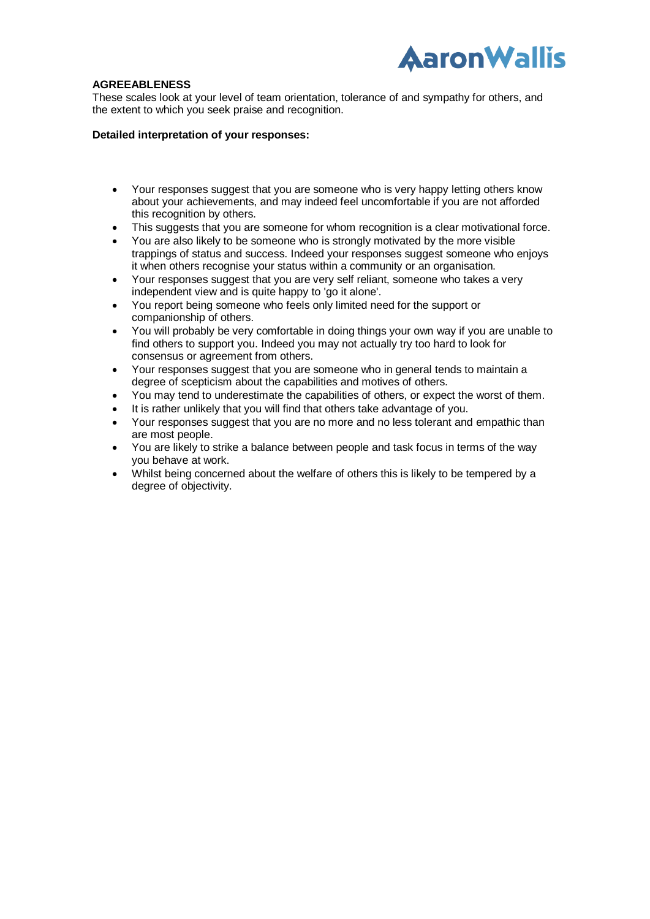

# **AGREEABLENESS**

These scales look at your level of team orientation, tolerance of and sympathy for others, and the extent to which you seek praise and recognition.

- Your responses suggest that you are someone who is very happy letting others know about your achievements, and may indeed feel uncomfortable if you are not afforded this recognition by others.
- This suggests that you are someone for whom recognition is a clear motivational force.
- You are also likely to be someone who is strongly motivated by the more visible trappings of status and success. Indeed your responses suggest someone who enjoys it when others recognise your status within a community or an organisation.
- Your responses suggest that you are very self reliant, someone who takes a very independent view and is quite happy to 'go it alone'.
- You report being someone who feels only limited need for the support or companionship of others.
- You will probably be very comfortable in doing things your own way if you are unable to find others to support you. Indeed you may not actually try too hard to look for consensus or agreement from others.
- Your responses suggest that you are someone who in general tends to maintain a degree of scepticism about the capabilities and motives of others.
- You may tend to underestimate the capabilities of others, or expect the worst of them.
- It is rather unlikely that you will find that others take advantage of you.
- Your responses suggest that you are no more and no less tolerant and empathic than are most people.
- You are likely to strike a balance between people and task focus in terms of the way you behave at work.
- Whilst being concerned about the welfare of others this is likely to be tempered by a degree of objectivity.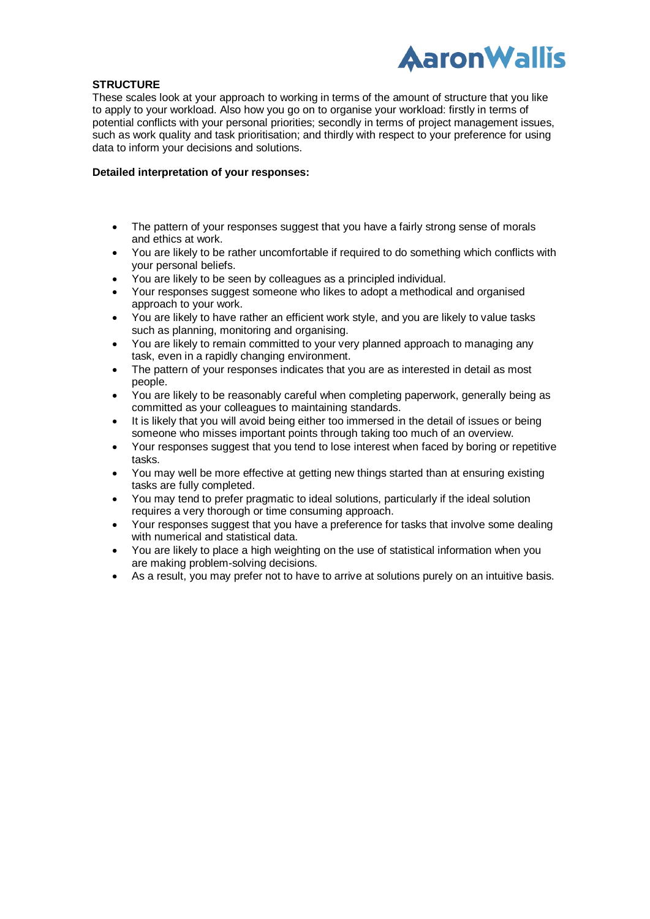

## **STRUCTURE**

These scales look at your approach to working in terms of the amount of structure that you like to apply to your workload. Also how you go on to organise your workload: firstly in terms of potential conflicts with your personal priorities; secondly in terms of project management issues, such as work quality and task prioritisation; and thirdly with respect to your preference for using data to inform your decisions and solutions.

- The pattern of your responses suggest that you have a fairly strong sense of morals and ethics at work.
- You are likely to be rather uncomfortable if required to do something which conflicts with your personal beliefs.
- You are likely to be seen by colleagues as a principled individual.
- Your responses suggest someone who likes to adopt a methodical and organised approach to your work.
- You are likely to have rather an efficient work style, and you are likely to value tasks such as planning, monitoring and organising.
- You are likely to remain committed to your very planned approach to managing any task, even in a rapidly changing environment.
- The pattern of your responses indicates that you are as interested in detail as most people.
- You are likely to be reasonably careful when completing paperwork, generally being as committed as your colleagues to maintaining standards.
- It is likely that you will avoid being either too immersed in the detail of issues or being someone who misses important points through taking too much of an overview.
- Your responses suggest that you tend to lose interest when faced by boring or repetitive tasks.
- You may well be more effective at getting new things started than at ensuring existing tasks are fully completed.
- You may tend to prefer pragmatic to ideal solutions, particularly if the ideal solution requires a very thorough or time consuming approach.
- Your responses suggest that you have a preference for tasks that involve some dealing with numerical and statistical data.
- You are likely to place a high weighting on the use of statistical information when you are making problem-solving decisions.
- As a result, you may prefer not to have to arrive at solutions purely on an intuitive basis.